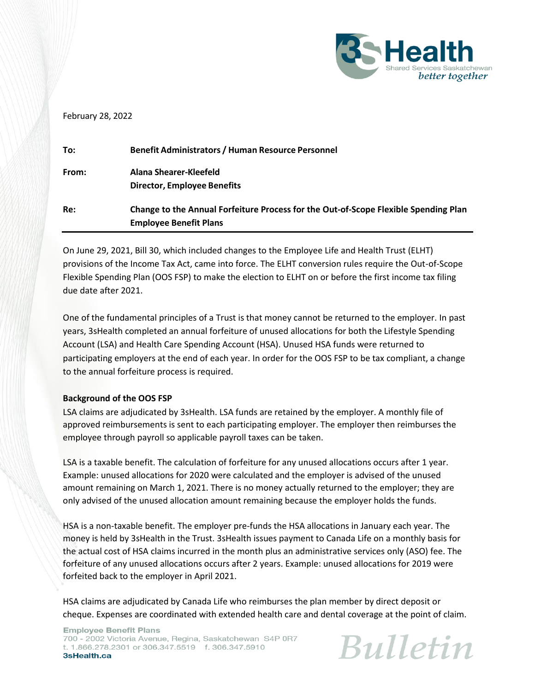

## February 28, 2022

| To:   | <b>Benefit Administrators / Human Resource Personnel</b>                            |
|-------|-------------------------------------------------------------------------------------|
| From: | Alana Shearer-Kleefeld                                                              |
|       | <b>Director, Employee Benefits</b>                                                  |
| Re:   | Change to the Annual Forfeiture Process for the Out-of-Scope Flexible Spending Plan |
|       | <b>Employee Benefit Plans</b>                                                       |

On June 29, 2021, Bill 30, which included changes to the Employee Life and Health Trust (ELHT) provisions of the Income Tax Act, came into force. The ELHT conversion rules require the Out-of-Scope Flexible Spending Plan (OOS FSP) to make the election to ELHT on or before the first income tax filing due date after 2021.

One of the fundamental principles of a Trust is that money cannot be returned to the employer. In past years, 3sHealth completed an annual forfeiture of unused allocations for both the Lifestyle Spending Account (LSA) and Health Care Spending Account (HSA). Unused HSA funds were returned to participating employers at the end of each year. In order for the OOS FSP to be tax compliant, a change to the annual forfeiture process is required.

## **Background of the OOS FSP**

LSA claims are adjudicated by 3sHealth. LSA funds are retained by the employer. A monthly file of approved reimbursements is sent to each participating employer. The employer then reimburses the employee through payroll so applicable payroll taxes can be taken.

LSA is a taxable benefit. The calculation of forfeiture for any unused allocations occurs after 1 year. Example: unused allocations for 2020 were calculated and the employer is advised of the unused amount remaining on March 1, 2021. There is no money actually returned to the employer; they are only advised of the unused allocation amount remaining because the employer holds the funds.

HSA is a non-taxable benefit. The employer pre-funds the HSA allocations in January each year. The money is held by 3sHealth in the Trust. 3sHealth issues payment to Canada Life on a monthly basis for the actual cost of HSA claims incurred in the month plus an administrative services only (ASO) fee. The forfeiture of any unused allocations occurs after 2 years. Example: unused allocations for 2019 were forfeited back to the employer in April 2021.

HSA claims are adjudicated by Canada Life who reimburses the plan member by direct deposit or cheque. Expenses are coordinated with extended health care and dental coverage at the point of claim.